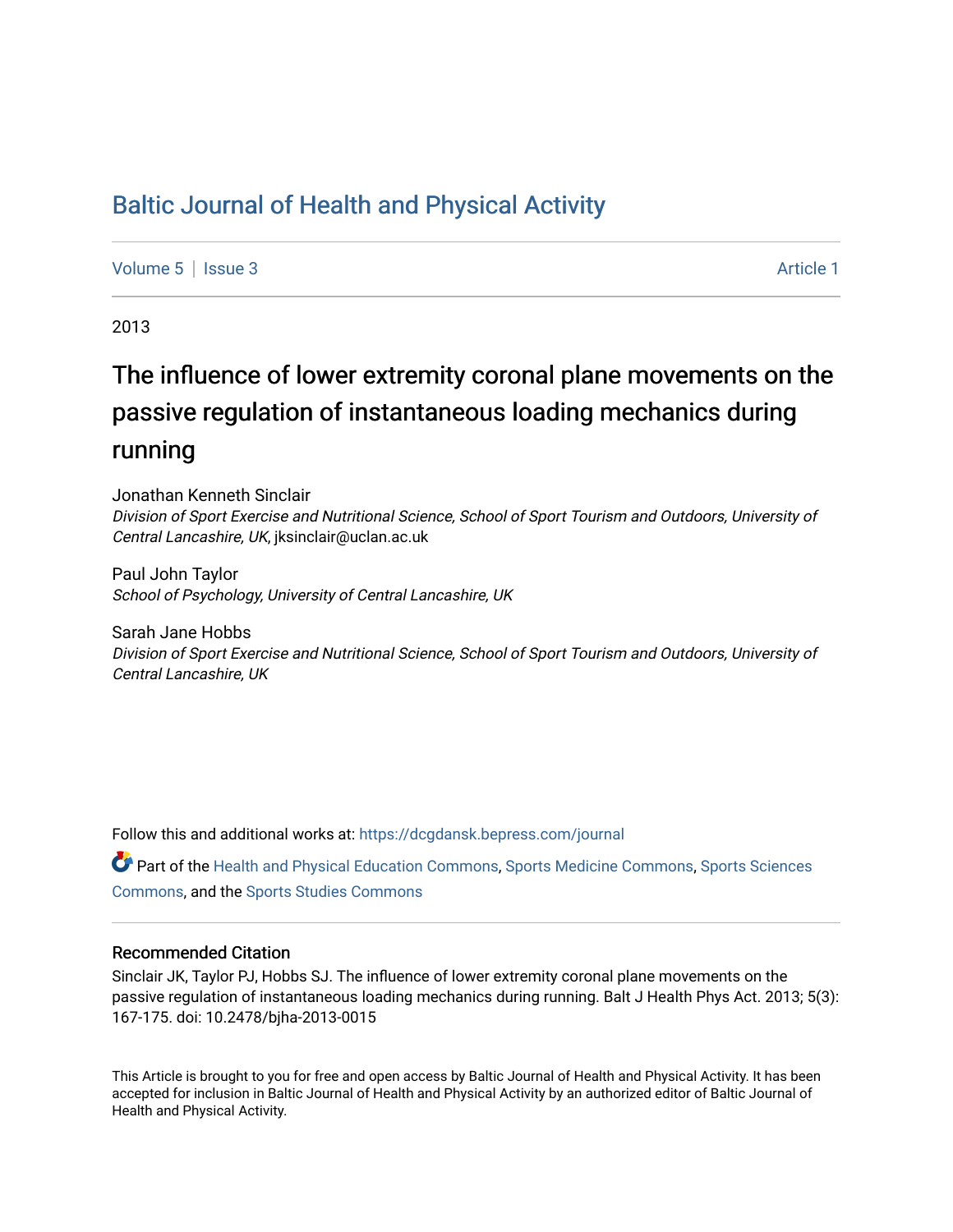# [Baltic Journal of Health and Physical Activity](https://dcgdansk.bepress.com/journal)

[Volume 5](https://dcgdansk.bepress.com/journal/vol5) | [Issue 3](https://dcgdansk.bepress.com/journal/vol5/iss3) Article 1

2013

# The influence of lower extremity coronal plane movements on the passive regulation of instantaneous loading mechanics during running

Jonathan Kenneth Sinclair Division of Sport Exercise and Nutritional Science, School of Sport Tourism and Outdoors, University of Central Lancashire, UK, jksinclair@uclan.ac.uk

Paul John Taylor School of Psychology, University of Central Lancashire, UK

Sarah Jane Hobbs Division of Sport Exercise and Nutritional Science, School of Sport Tourism and Outdoors, University of Central Lancashire, UK

Follow this and additional works at: [https://dcgdansk.bepress.com/journal](https://dcgdansk.bepress.com/journal?utm_source=dcgdansk.bepress.com%2Fjournal%2Fvol5%2Fiss3%2F1&utm_medium=PDF&utm_campaign=PDFCoverPages)

Part of the [Health and Physical Education Commons](http://network.bepress.com/hgg/discipline/1327?utm_source=dcgdansk.bepress.com%2Fjournal%2Fvol5%2Fiss3%2F1&utm_medium=PDF&utm_campaign=PDFCoverPages), [Sports Medicine Commons,](http://network.bepress.com/hgg/discipline/1331?utm_source=dcgdansk.bepress.com%2Fjournal%2Fvol5%2Fiss3%2F1&utm_medium=PDF&utm_campaign=PDFCoverPages) [Sports Sciences](http://network.bepress.com/hgg/discipline/759?utm_source=dcgdansk.bepress.com%2Fjournal%2Fvol5%2Fiss3%2F1&utm_medium=PDF&utm_campaign=PDFCoverPages) [Commons](http://network.bepress.com/hgg/discipline/759?utm_source=dcgdansk.bepress.com%2Fjournal%2Fvol5%2Fiss3%2F1&utm_medium=PDF&utm_campaign=PDFCoverPages), and the [Sports Studies Commons](http://network.bepress.com/hgg/discipline/1198?utm_source=dcgdansk.bepress.com%2Fjournal%2Fvol5%2Fiss3%2F1&utm_medium=PDF&utm_campaign=PDFCoverPages) 

#### Recommended Citation

Sinclair JK, Taylor PJ, Hobbs SJ. The influence of lower extremity coronal plane movements on the passive regulation of instantaneous loading mechanics during running. Balt J Health Phys Act. 2013; 5(3): 167-175. doi: 10.2478/bjha-2013-0015

This Article is brought to you for free and open access by Baltic Journal of Health and Physical Activity. It has been accepted for inclusion in Baltic Journal of Health and Physical Activity by an authorized editor of Baltic Journal of Health and Physical Activity.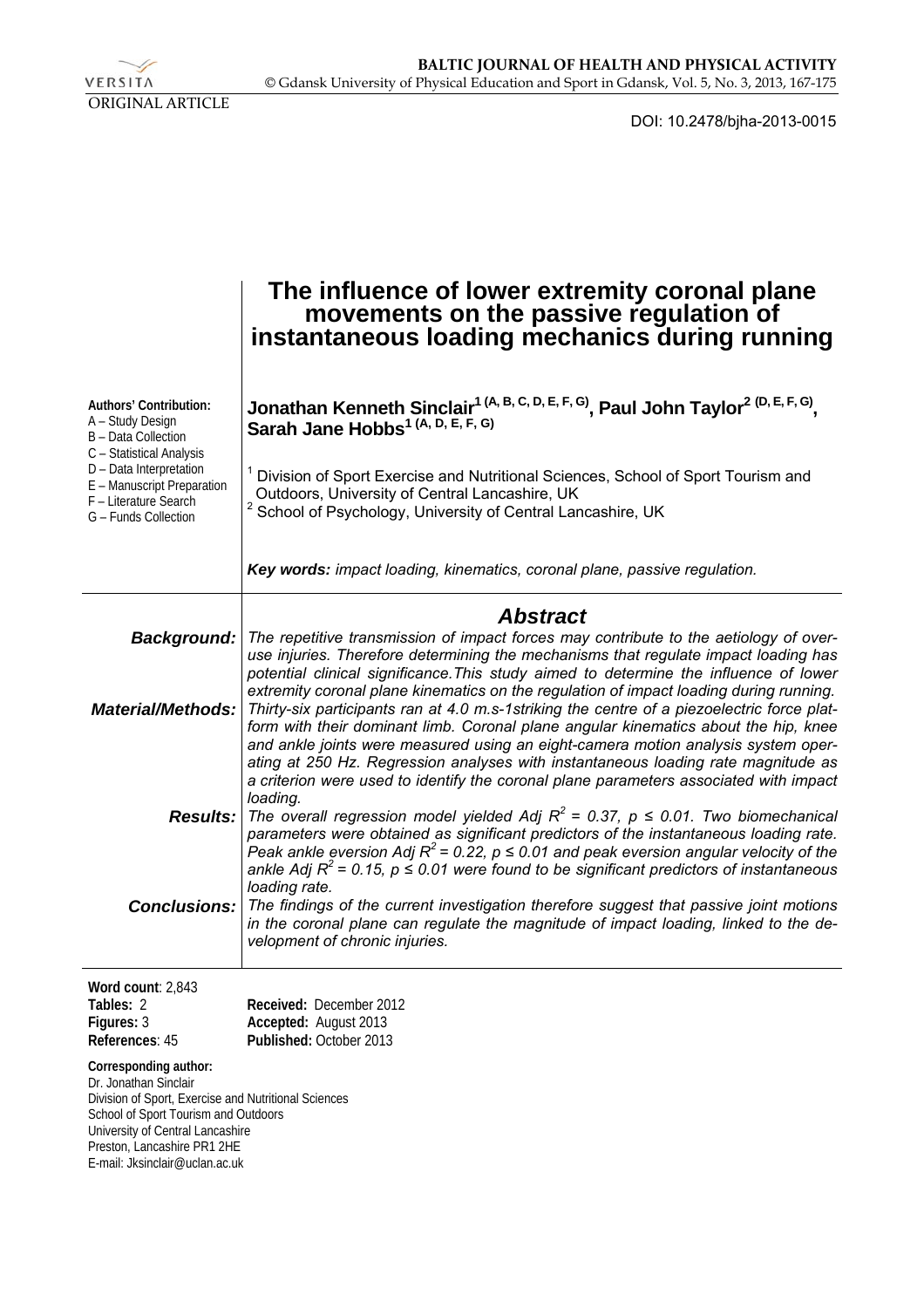VERSITA ORIGINAL ARTICLE

DOI: 10.2478/bjha-2013-0015

|                                                                                                                                                                                                                                                     | The influence of lower extremity coronal plane<br>movements on the passive regulation of<br>instantaneous loading mechanics during running                                                                                                                                                                                                                                                                                                                       |
|-----------------------------------------------------------------------------------------------------------------------------------------------------------------------------------------------------------------------------------------------------|------------------------------------------------------------------------------------------------------------------------------------------------------------------------------------------------------------------------------------------------------------------------------------------------------------------------------------------------------------------------------------------------------------------------------------------------------------------|
| Authors' Contribution:<br>A - Study Design<br><b>B</b> - Data Collection<br>C - Statistical Analysis<br>D - Data Interpretation<br>E - Manuscript Preparation<br>F - Literature Search<br>G - Funds Collection                                      | Jonathan Kenneth Sinclair <sup>1 (A, B, C, D, E, F, G)</sup> , Paul John Taylor <sup>2 (D, E, F, G)</sup> , Sarah Jane Hobbs <sup>1 (A, D, E, F, G)</sup><br>Division of Sport Exercise and Nutritional Sciences, School of Sport Tourism and<br>Outdoors, University of Central Lancashire, UK<br>School of Psychology, University of Central Lancashire, UK                                                                                                    |
|                                                                                                                                                                                                                                                     | Key words: impact loading, kinematics, coronal plane, passive regulation.                                                                                                                                                                                                                                                                                                                                                                                        |
| Background:                                                                                                                                                                                                                                         | <b>Abstract</b><br>The repetitive transmission of impact forces may contribute to the aetiology of over-<br>use injuries. Therefore determining the mechanisms that regulate impact loading has<br>potential clinical significance. This study aimed to determine the influence of lower<br>extremity coronal plane kinematics on the regulation of impact loading during running.                                                                               |
| <b>Material/Methods:</b>                                                                                                                                                                                                                            | Thirty-six participants ran at 4.0 m.s-1striking the centre of a piezoelectric force plat-<br>form with their dominant limb. Coronal plane angular kinematics about the hip, knee<br>and ankle joints were measured using an eight-camera motion analysis system oper-<br>ating at 250 Hz. Regression analyses with instantaneous loading rate magnitude as<br>a criterion were used to identify the coronal plane parameters associated with impact<br>loading. |
|                                                                                                                                                                                                                                                     | <b>Results:</b> The overall regression model yielded Adj $R^2$ = 0.37, $p \le 0.01$ . Two biomechanical<br>parameters were obtained as significant predictors of the instantaneous loading rate.<br>Peak ankle eversion Adj $R^2$ = 0.22, $p \le 0.01$ and peak eversion angular velocity of the<br>ankle Adj $R^2$ = 0.15, $p \le 0.01$ were found to be significant predictors of instantaneous<br>loading rate.                                               |
| <b>Conclusions:</b>                                                                                                                                                                                                                                 | The findings of the current investigation therefore suggest that passive joint motions<br>in the coronal plane can regulate the magnitude of impact loading, linked to the de-<br>velopment of chronic injuries.                                                                                                                                                                                                                                                 |
| Word count: 2,843<br>Tables: 2<br>Figures: 3<br>References: 45                                                                                                                                                                                      | Received: December 2012<br>Accepted: August 2013<br>Published: October 2013                                                                                                                                                                                                                                                                                                                                                                                      |
| Corresponding author:<br>Dr. Jonathan Sinclair<br>Division of Sport, Exercise and Nutritional Sciences<br>School of Sport Tourism and Outdoors<br>University of Central Lancashire<br>Preston, Lancashire PR1 2HE<br>E-mail: Jksinclair@uclan.ac.uk |                                                                                                                                                                                                                                                                                                                                                                                                                                                                  |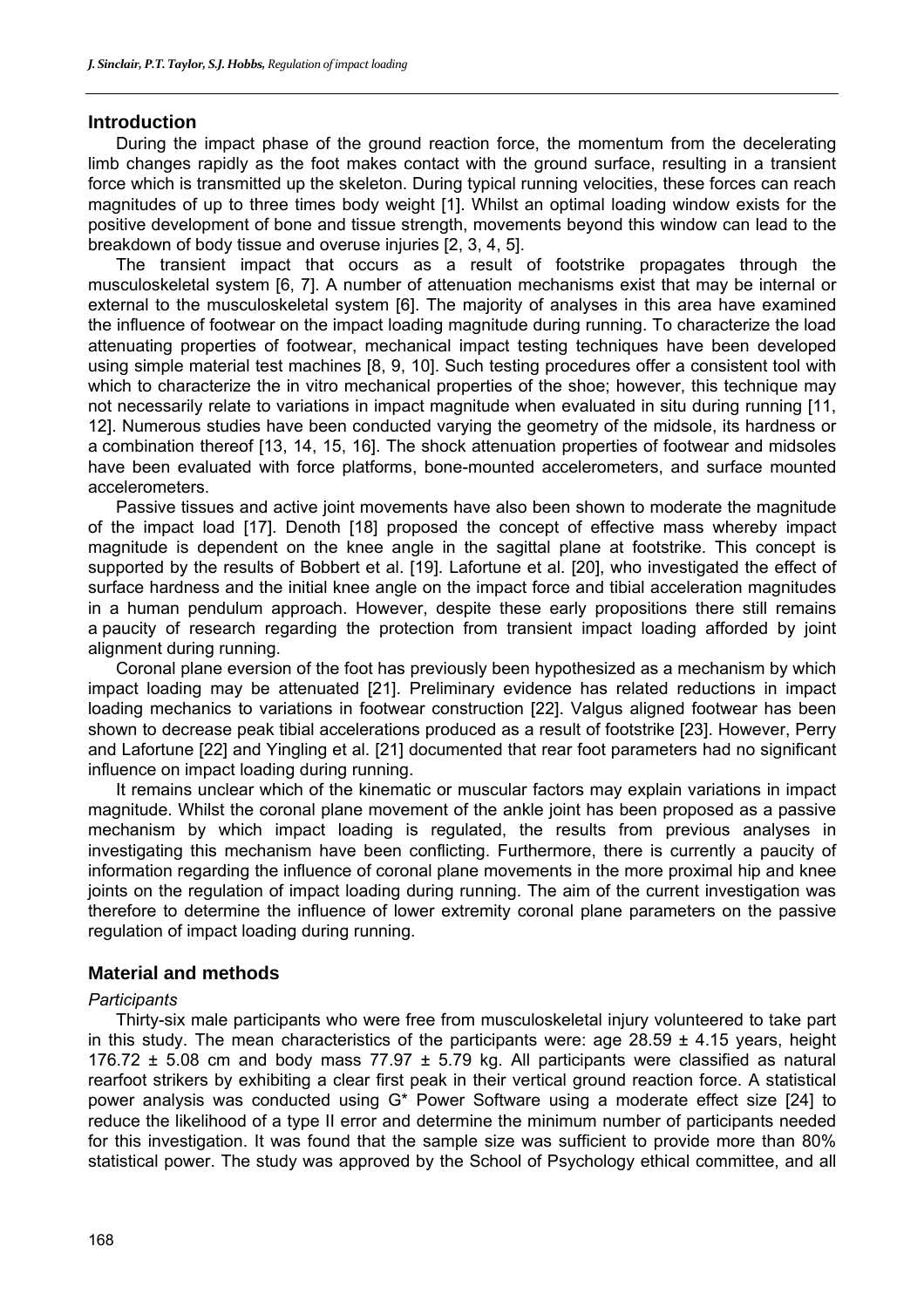### **Introduction**

During the impact phase of the ground reaction force, the momentum from the decelerating limb changes rapidly as the foot makes contact with the ground surface, resulting in a transient force which is transmitted up the skeleton. During typical running velocities, these forces can reach magnitudes of up to three times body weight [1]. Whilst an optimal loading window exists for the positive development of bone and tissue strength, movements beyond this window can lead to the breakdown of body tissue and overuse injuries [2, 3, 4, 5].

The transient impact that occurs as a result of footstrike propagates through the musculoskeletal system [6, 7]. A number of attenuation mechanisms exist that may be internal or external to the musculoskeletal system [6]. The majority of analyses in this area have examined the influence of footwear on the impact loading magnitude during running. To characterize the load attenuating properties of footwear, mechanical impact testing techniques have been developed using simple material test machines [8, 9, 10]. Such testing procedures offer a consistent tool with which to characterize the in vitro mechanical properties of the shoe; however, this technique may not necessarily relate to variations in impact magnitude when evaluated in situ during running [11, 12]. Numerous studies have been conducted varying the geometry of the midsole, its hardness or a combination thereof [13, 14, 15, 16]. The shock attenuation properties of footwear and midsoles have been evaluated with force platforms, bone-mounted accelerometers, and surface mounted accelerometers.

Passive tissues and active joint movements have also been shown to moderate the magnitude of the impact load [17]. Denoth [18] proposed the concept of effective mass whereby impact magnitude is dependent on the knee angle in the sagittal plane at footstrike. This concept is supported by the results of Bobbert et al. [19]. Lafortune et al. [20], who investigated the effect of surface hardness and the initial knee angle on the impact force and tibial acceleration magnitudes in a human pendulum approach. However, despite these early propositions there still remains a paucity of research regarding the protection from transient impact loading afforded by joint alignment during running.

Coronal plane eversion of the foot has previously been hypothesized as a mechanism by which impact loading may be attenuated [21]. Preliminary evidence has related reductions in impact loading mechanics to variations in footwear construction [22]. Valgus aligned footwear has been shown to decrease peak tibial accelerations produced as a result of footstrike [23]. However, Perry and Lafortune [22] and Yingling et al. [21] documented that rear foot parameters had no significant influence on impact loading during running.

It remains unclear which of the kinematic or muscular factors may explain variations in impact magnitude. Whilst the coronal plane movement of the ankle joint has been proposed as a passive mechanism by which impact loading is regulated, the results from previous analyses in investigating this mechanism have been conflicting. Furthermore, there is currently a paucity of information regarding the influence of coronal plane movements in the more proximal hip and knee joints on the regulation of impact loading during running. The aim of the current investigation was therefore to determine the influence of lower extremity coronal plane parameters on the passive regulation of impact loading during running.

# **Material and methods**

#### *Participants*

Thirty-six male participants who were free from musculoskeletal injury volunteered to take part in this study. The mean characteristics of the participants were: age  $28.59 \pm 4.15$  years, height 176.72  $\pm$  5.08 cm and body mass 77.97  $\pm$  5.79 kg. All participants were classified as natural rearfoot strikers by exhibiting a clear first peak in their vertical ground reaction force. A statistical power analysis was conducted using G\* Power Software using a moderate effect size [24] to reduce the likelihood of a type II error and determine the minimum number of participants needed for this investigation. It was found that the sample size was sufficient to provide more than 80% statistical power. The study was approved by the School of Psychology ethical committee, and all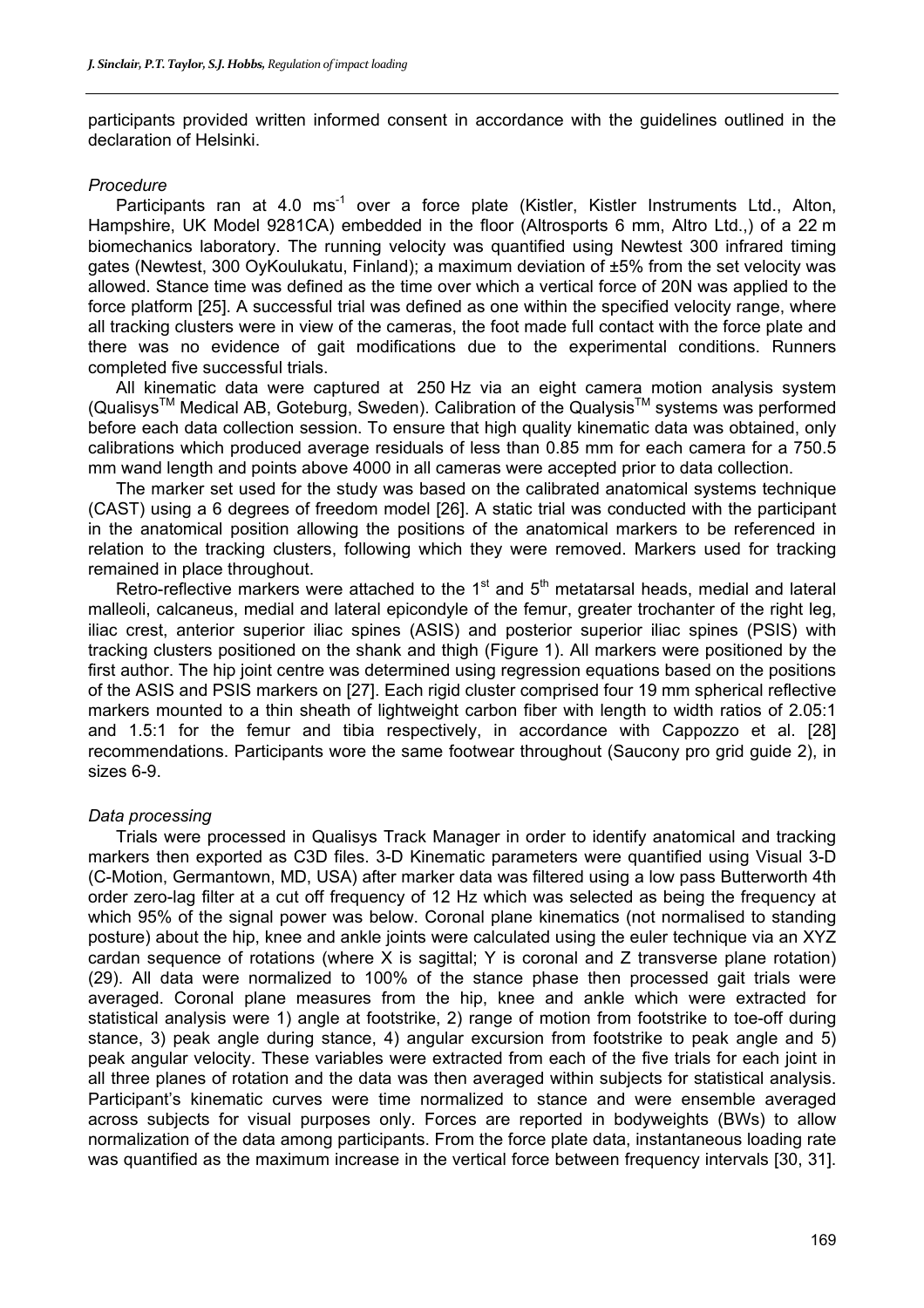participants provided written informed consent in accordance with the guidelines outlined in the declaration of Helsinki.

#### *Procedure*

Participants ran at 4.0 ms<sup>-1</sup> over a force plate (Kistler, Kistler Instruments Ltd., Alton, Hampshire, UK Model 9281CA) embedded in the floor (Altrosports 6 mm, Altro Ltd.,) of a 22 m biomechanics laboratory. The running velocity was quantified using Newtest 300 infrared timing gates (Newtest, 300 OyKoulukatu, Finland); a maximum deviation of ±5% from the set velocity was allowed. Stance time was defined as the time over which a vertical force of 20N was applied to the force platform [25]. A successful trial was defined as one within the specified velocity range, where all tracking clusters were in view of the cameras, the foot made full contact with the force plate and there was no evidence of gait modifications due to the experimental conditions. Runners completed five successful trials.

All kinematic data were captured at 250 Hz via an eight camera motion analysis system (Qualisys<sup>TM</sup> Medical AB, Goteburg, Sweden). Calibration of the Qualysis<sup>TM</sup> systems was performed before each data collection session. To ensure that high quality kinematic data was obtained, only calibrations which produced average residuals of less than 0.85 mm for each camera for a 750.5 mm wand length and points above 4000 in all cameras were accepted prior to data collection.

The marker set used for the study was based on the calibrated anatomical systems technique (CAST) using a 6 degrees of freedom model [26]. A static trial was conducted with the participant in the anatomical position allowing the positions of the anatomical markers to be referenced in relation to the tracking clusters, following which they were removed. Markers used for tracking remained in place throughout.

Retro-reflective markers were attached to the  $1<sup>st</sup>$  and  $5<sup>th</sup>$  metatarsal heads, medial and lateral malleoli, calcaneus, medial and lateral epicondyle of the femur, greater trochanter of the right leg, iliac crest, anterior superior iliac spines (ASIS) and posterior superior iliac spines (PSIS) with tracking clusters positioned on the shank and thigh (Figure 1). All markers were positioned by the first author. The hip joint centre was determined using regression equations based on the positions of the ASIS and PSIS markers on [27]. Each rigid cluster comprised four 19 mm spherical reflective markers mounted to a thin sheath of lightweight carbon fiber with length to width ratios of 2.05:1 and 1.5:1 for the femur and tibia respectively, in accordance with Cappozzo et al. [28] recommendations. Participants wore the same footwear throughout (Saucony pro grid guide 2), in sizes 6-9.

# *Data processing*

Trials were processed in Qualisys Track Manager in order to identify anatomical and tracking markers then exported as C3D files. 3-D Kinematic parameters were quantified using Visual 3-D (C-Motion, Germantown, MD, USA) after marker data was filtered using a low pass Butterworth 4th order zero-lag filter at a cut off frequency of 12 Hz which was selected as being the frequency at which 95% of the signal power was below. Coronal plane kinematics (not normalised to standing posture) about the hip, knee and ankle joints were calculated using the euler technique via an XYZ cardan sequence of rotations (where X is sagittal; Y is coronal and Z transverse plane rotation) (29). All data were normalized to 100% of the stance phase then processed gait trials were averaged. Coronal plane measures from the hip, knee and ankle which were extracted for statistical analysis were 1) angle at footstrike, 2) range of motion from footstrike to toe-off during stance, 3) peak angle during stance, 4) angular excursion from footstrike to peak angle and 5) peak angular velocity. These variables were extracted from each of the five trials for each joint in all three planes of rotation and the data was then averaged within subjects for statistical analysis. Participant's kinematic curves were time normalized to stance and were ensemble averaged across subjects for visual purposes only. Forces are reported in bodyweights (BWs) to allow normalization of the data among participants. From the force plate data, instantaneous loading rate was quantified as the maximum increase in the vertical force between frequency intervals [30, 31].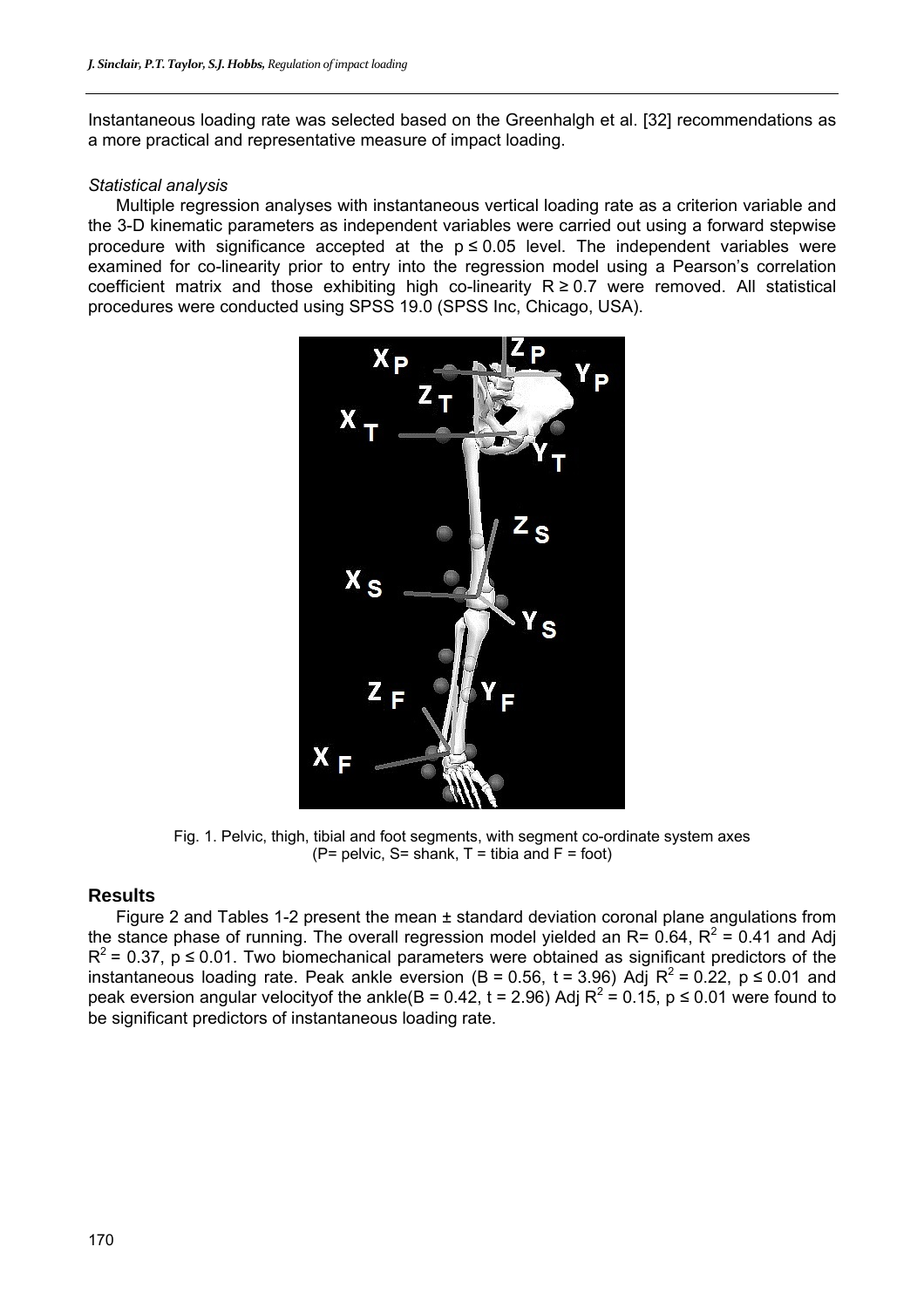Instantaneous loading rate was selected based on the Greenhalgh et al. [32] recommendations as a more practical and representative measure of impact loading.

#### *Statistical analysis*

Multiple regression analyses with instantaneous vertical loading rate as a criterion variable and the 3-D kinematic parameters as independent variables were carried out using a forward stepwise procedure with significance accepted at the  $p \le 0.05$  level. The independent variables were examined for co-linearity prior to entry into the regression model using a Pearson's correlation coefficient matrix and those exhibiting high co-linearity  $R \ge 0.7$  were removed. All statistical procedures were conducted using SPSS 19.0 (SPSS Inc, Chicago, USA).



Fig. 1. Pelvic, thigh, tibial and foot segments, with segment co-ordinate system axes  $(P=$  pelvic, S= shank, T = tibia and F = foot)

#### **Results**

Figure 2 and Tables 1-2 present the mean ± standard deviation coronal plane angulations from the stance phase of running. The overall regression model yielded an R= 0.64, R<sup>2</sup> = 0.41 and Adj  $R^2$  = 0.37, p  $\leq$  0.01. Two biomechanical parameters were obtained as significant predictors of the instantaneous loading rate. Peak ankle eversion (B = 0.56, t = 3.96) Adj R<sup>2</sup> = 0.22, p ≤ 0.01 and peak eversion angular velocityof the ankle(B = 0.42, t = 2.96) Adj R<sup>2</sup> = 0.15, p ≤ 0.01 were found to be significant predictors of instantaneous loading rate.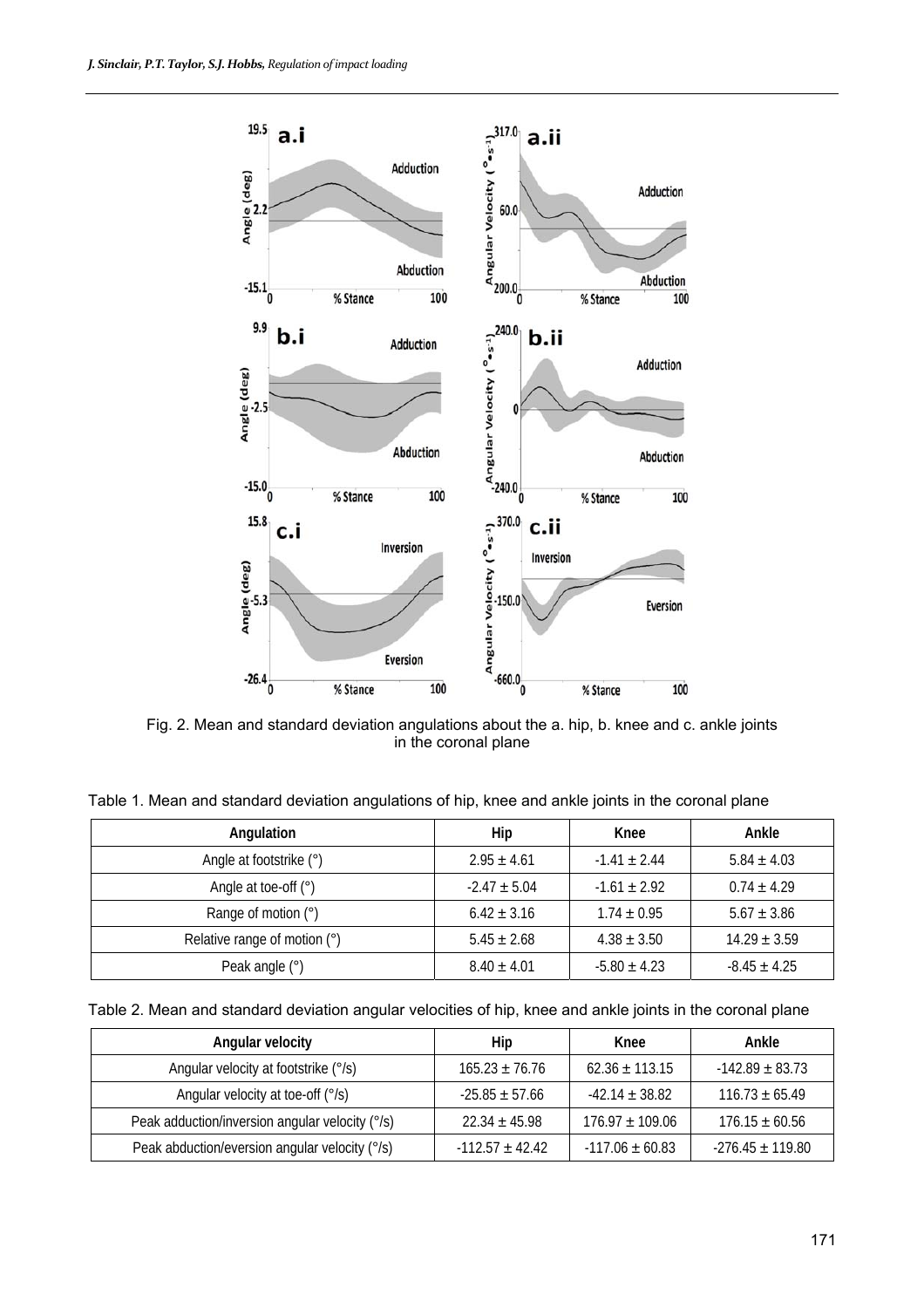

Fig. 2. Mean and standard deviation angulations about the a. hip, b. knee and c. ankle joints in the coronal plane

Table 1. Mean and standard deviation angulations of hip, knee and ankle joints in the coronal plane

| Angulation                   | Hip              | Knee             | Ankle            |
|------------------------------|------------------|------------------|------------------|
| Angle at footstrike (°)      | $2.95 \pm 4.61$  | $-1.41 \pm 2.44$ | $5.84 \pm 4.03$  |
| Angle at toe-off $(°)$       | $-2.47 \pm 5.04$ | $-1.61 \pm 2.92$ | $0.74 \pm 4.29$  |
| Range of motion (°)          | $6.42 \pm 3.16$  | $1.74 \pm 0.95$  | $5.67 \pm 3.86$  |
| Relative range of motion (°) | $5.45 \pm 2.68$  | $4.38 \pm 3.50$  | $14.29 \pm 3.59$ |
| Peak angle $(°)$             | $8.40 \pm 4.01$  | $-5.80 \pm 4.23$ | $-8.45 \pm 4.25$ |

Table 2. Mean and standard deviation angular velocities of hip, knee and ankle joints in the coronal plane

| Angular velocity                                | Hip                 | Knee                | Ankle                |
|-------------------------------------------------|---------------------|---------------------|----------------------|
| Angular velocity at footstrike (°/s)            | $165.23 \pm 76.76$  | $62.36 \pm 113.15$  | $-142.89 \pm 83.73$  |
| Angular velocity at toe-off (°/s)               | $-25.85 \pm 57.66$  | $-42.14 \pm 38.82$  | $116.73 \pm 65.49$   |
| Peak adduction/inversion angular velocity (°/s) | $22.34 \pm 45.98$   | $176.97 \pm 109.06$ | $176.15 \pm 60.56$   |
| Peak abduction/eversion angular velocity (°/s)  | $-112.57 \pm 42.42$ | $-117.06 \pm 60.83$ | $-276.45 \pm 119.80$ |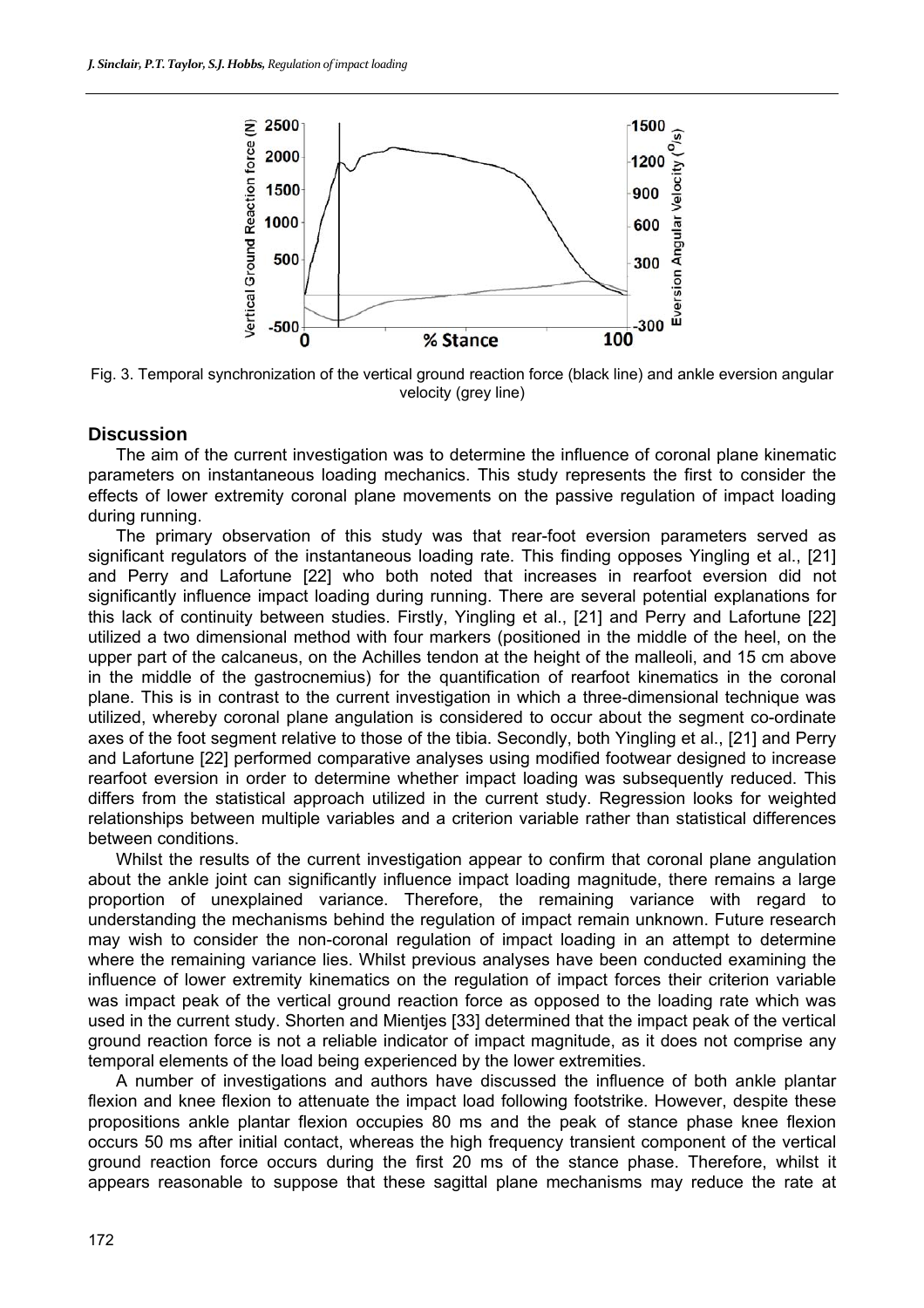

Fig. 3. Temporal synchronization of the vertical ground reaction force (black line) and ankle eversion angular velocity (grey line)

# **Discussion**

The aim of the current investigation was to determine the influence of coronal plane kinematic parameters on instantaneous loading mechanics. This study represents the first to consider the effects of lower extremity coronal plane movements on the passive regulation of impact loading during running.

The primary observation of this study was that rear-foot eversion parameters served as significant regulators of the instantaneous loading rate. This finding opposes Yingling et al., [21] and Perry and Lafortune [22] who both noted that increases in rearfoot eversion did not significantly influence impact loading during running. There are several potential explanations for this lack of continuity between studies. Firstly, Yingling et al., [21] and Perry and Lafortune [22] utilized a two dimensional method with four markers (positioned in the middle of the heel, on the upper part of the calcaneus, on the Achilles tendon at the height of the malleoli, and 15 cm above in the middle of the gastrocnemius) for the quantification of rearfoot kinematics in the coronal plane. This is in contrast to the current investigation in which a three-dimensional technique was utilized, whereby coronal plane angulation is considered to occur about the segment co-ordinate axes of the foot segment relative to those of the tibia. Secondly, both Yingling et al., [21] and Perry and Lafortune [22] performed comparative analyses using modified footwear designed to increase rearfoot eversion in order to determine whether impact loading was subsequently reduced. This differs from the statistical approach utilized in the current study. Regression looks for weighted relationships between multiple variables and a criterion variable rather than statistical differences between conditions.

Whilst the results of the current investigation appear to confirm that coronal plane angulation about the ankle joint can significantly influence impact loading magnitude, there remains a large proportion of unexplained variance. Therefore, the remaining variance with regard to understanding the mechanisms behind the regulation of impact remain unknown. Future research may wish to consider the non-coronal regulation of impact loading in an attempt to determine where the remaining variance lies. Whilst previous analyses have been conducted examining the influence of lower extremity kinematics on the regulation of impact forces their criterion variable was impact peak of the vertical ground reaction force as opposed to the loading rate which was used in the current study. Shorten and Mientjes [33] determined that the impact peak of the vertical ground reaction force is not a reliable indicator of impact magnitude, as it does not comprise any temporal elements of the load being experienced by the lower extremities.

A number of investigations and authors have discussed the influence of both ankle plantar flexion and knee flexion to attenuate the impact load following footstrike. However, despite these propositions ankle plantar flexion occupies 80 ms and the peak of stance phase knee flexion occurs 50 ms after initial contact, whereas the high frequency transient component of the vertical ground reaction force occurs during the first 20 ms of the stance phase. Therefore, whilst it appears reasonable to suppose that these sagittal plane mechanisms may reduce the rate at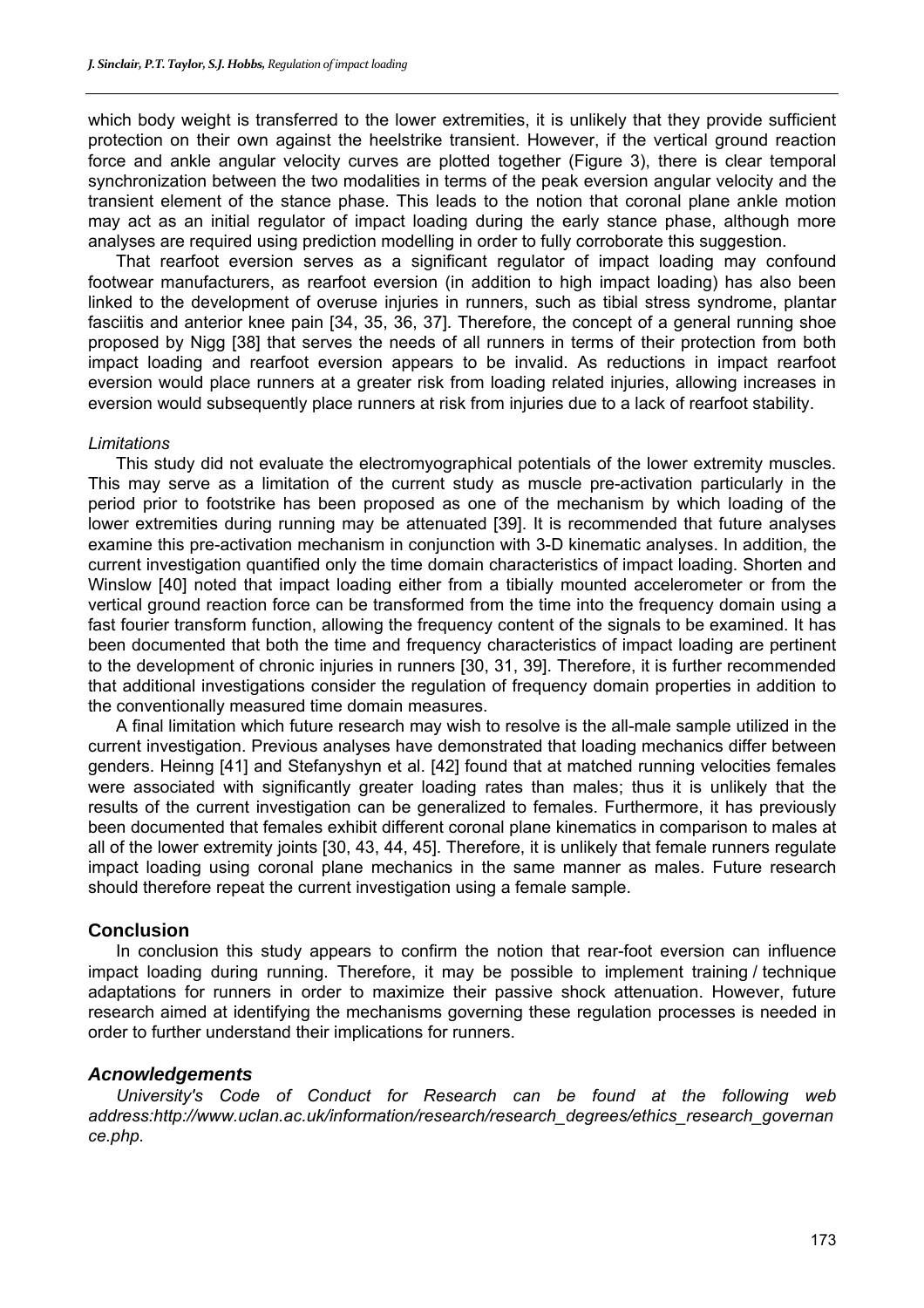which body weight is transferred to the lower extremities, it is unlikely that they provide sufficient protection on their own against the heelstrike transient. However, if the vertical ground reaction force and ankle angular velocity curves are plotted together (Figure 3), there is clear temporal synchronization between the two modalities in terms of the peak eversion angular velocity and the transient element of the stance phase. This leads to the notion that coronal plane ankle motion may act as an initial regulator of impact loading during the early stance phase, although more analyses are required using prediction modelling in order to fully corroborate this suggestion.

That rearfoot eversion serves as a significant regulator of impact loading may confound footwear manufacturers, as rearfoot eversion (in addition to high impact loading) has also been linked to the development of overuse injuries in runners, such as tibial stress syndrome, plantar fasciitis and anterior knee pain [34, 35, 36, 37]. Therefore, the concept of a general running shoe proposed by Nigg [38] that serves the needs of all runners in terms of their protection from both impact loading and rearfoot eversion appears to be invalid. As reductions in impact rearfoot eversion would place runners at a greater risk from loading related injuries, allowing increases in eversion would subsequently place runners at risk from injuries due to a lack of rearfoot stability.

#### *Limitations*

This study did not evaluate the electromyographical potentials of the lower extremity muscles. This may serve as a limitation of the current study as muscle pre-activation particularly in the period prior to footstrike has been proposed as one of the mechanism by which loading of the lower extremities during running may be attenuated [39]. It is recommended that future analyses examine this pre-activation mechanism in conjunction with 3-D kinematic analyses. In addition, the current investigation quantified only the time domain characteristics of impact loading. Shorten and Winslow [40] noted that impact loading either from a tibially mounted accelerometer or from the vertical ground reaction force can be transformed from the time into the frequency domain using a fast fourier transform function, allowing the frequency content of the signals to be examined. It has been documented that both the time and frequency characteristics of impact loading are pertinent to the development of chronic injuries in runners [30, 31, 39]. Therefore, it is further recommended that additional investigations consider the regulation of frequency domain properties in addition to the conventionally measured time domain measures.

A final limitation which future research may wish to resolve is the all-male sample utilized in the current investigation. Previous analyses have demonstrated that loading mechanics differ between genders. Heinng [41] and Stefanyshyn et al. [42] found that at matched running velocities females were associated with significantly greater loading rates than males; thus it is unlikely that the results of the current investigation can be generalized to females. Furthermore, it has previously been documented that females exhibit different coronal plane kinematics in comparison to males at all of the lower extremity joints [30, 43, 44, 45]. Therefore, it is unlikely that female runners regulate impact loading using coronal plane mechanics in the same manner as males. Future research should therefore repeat the current investigation using a female sample.

# **Conclusion**

In conclusion this study appears to confirm the notion that rear-foot eversion can influence impact loading during running. Therefore, it may be possible to implement training / technique adaptations for runners in order to maximize their passive shock attenuation. However, future research aimed at identifying the mechanisms governing these regulation processes is needed in order to further understand their implications for runners.

# *Acnowledgements*

*University's Code of Conduct for Research can be found at the following web address:http://www.uclan.ac.uk/information/research/research\_degrees/ethics\_research\_governan ce.php.*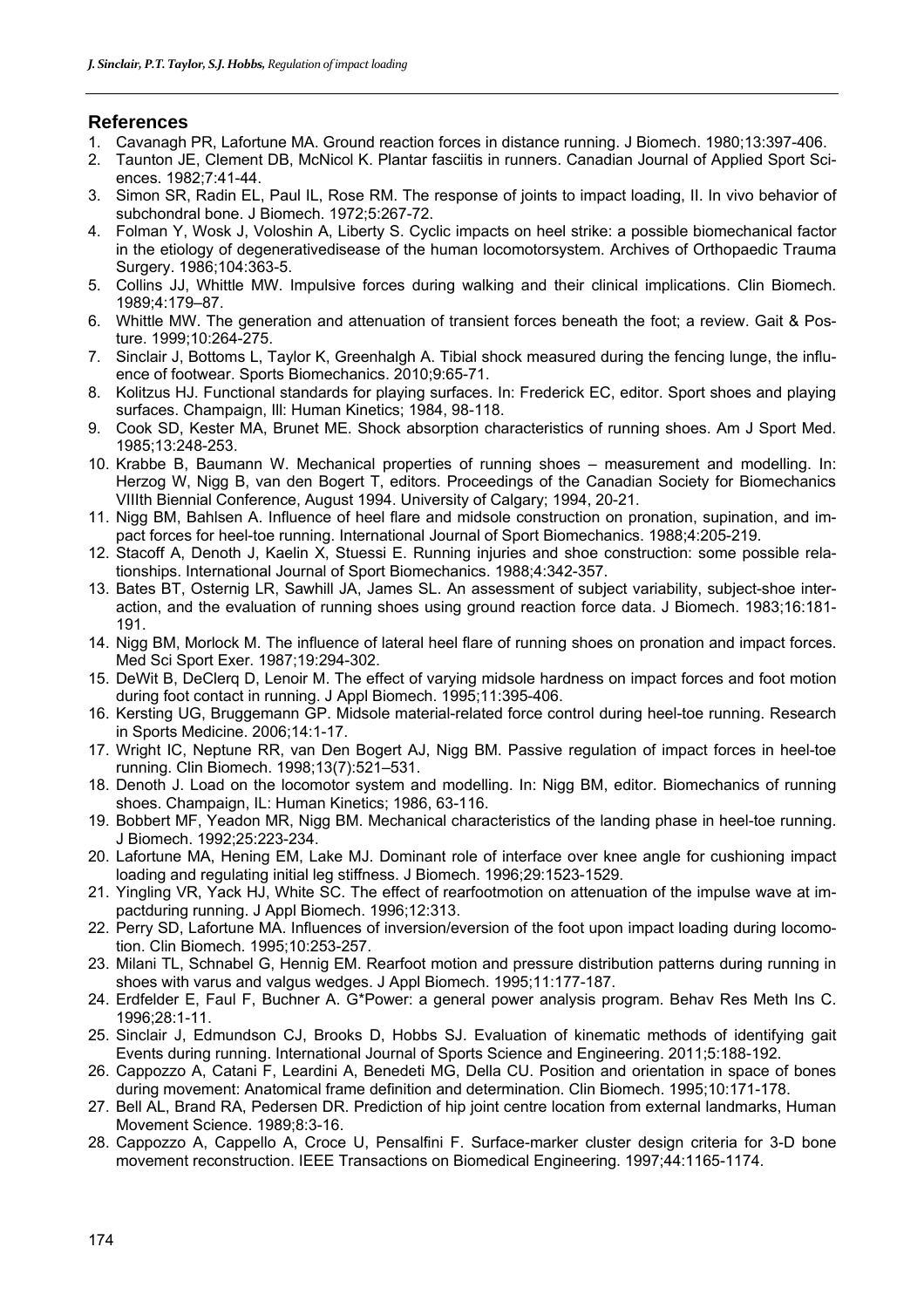# **References**

- 1. Cavanagh PR, Lafortune MA. Ground reaction forces in distance running. J Biomech. 1980;13:397-406.
- 2. Taunton JE, Clement DB, McNicol K. Plantar fasciitis in runners. Canadian Journal of Applied Sport Sciences. 1982;7:41-44.
- 3. Simon SR, Radin EL, Paul IL, Rose RM. The response of joints to impact loading, II. In vivo behavior of subchondral bone. J Biomech. 1972;5:267-72.
- 4. Folman Y, Wosk J, Voloshin A, Liberty S. Cyclic impacts on heel strike: a possible biomechanical factor in the etiology of degenerativedisease of the human locomotorsystem. Archives of Orthopaedic Trauma Surgery. 1986;104:363-5.
- 5. Collins JJ, Whittle MW. Impulsive forces during walking and their clinical implications. Clin Biomech. 1989;4:179–87.
- 6. Whittle MW. The generation and attenuation of transient forces beneath the foot; a review. Gait & Posture. 1999;10:264-275.
- 7. Sinclair J, Bottoms L, Taylor K, Greenhalgh A. Tibial shock measured during the fencing lunge, the influence of footwear. Sports Biomechanics. 2010;9:65-71.
- 8. Kolitzus HJ. Functional standards for playing surfaces. In: Frederick EC, editor. Sport shoes and playing surfaces. Champaign, Ill: Human Kinetics; 1984, 98-118.
- 9. Cook SD, Kester MA, Brunet ME. Shock absorption characteristics of running shoes. Am J Sport Med. 1985;13:248-253.
- 10. Krabbe B, Baumann W. Mechanical properties of running shoes measurement and modelling. In: Herzog W, Nigg B, van den Bogert T, editors. Proceedings of the Canadian Society for Biomechanics VIIIth Biennial Conference, August 1994. University of Calgary; 1994, 20-21.
- 11. Nigg BM, Bahlsen A. Influence of heel flare and midsole construction on pronation, supination, and impact forces for heel-toe running. International Journal of Sport Biomechanics. 1988;4:205-219.
- 12. Stacoff A, Denoth J, Kaelin X, Stuessi E. Running injuries and shoe construction: some possible relationships. International Journal of Sport Biomechanics. 1988;4:342-357.
- 13. Bates BT, Osternig LR, Sawhill JA, James SL. An assessment of subject variability, subject-shoe interaction, and the evaluation of running shoes using ground reaction force data. J Biomech. 1983;16:181- 191.
- 14. Nigg BM, Morlock M. The influence of lateral heel flare of running shoes on pronation and impact forces. Med Sci Sport Exer. 1987;19:294-302.
- 15. DeWit B, DeClerq D, Lenoir M. The effect of varying midsole hardness on impact forces and foot motion during foot contact in running. J Appl Biomech. 1995;11:395-406.
- 16. Kersting UG, Bruggemann GP. Midsole material-related force control during heel-toe running. Research in Sports Medicine. 2006;14:1-17.
- 17. Wright IC, Neptune RR, van Den Bogert AJ, Nigg BM. Passive regulation of impact forces in heel-toe running. Clin Biomech. 1998;13(7):521–531.
- 18. Denoth J. Load on the locomotor system and modelling. In: Nigg BM, editor. Biomechanics of running shoes. Champaign, IL: Human Kinetics; 1986, 63-116.
- 19. Bobbert MF, Yeadon MR, Nigg BM. Mechanical characteristics of the landing phase in heel-toe running. J Biomech. 1992;25:223-234.
- 20. Lafortune MA, Hening EM, Lake MJ. Dominant role of interface over knee angle for cushioning impact loading and regulating initial leg stiffness. J Biomech. 1996;29:1523-1529.
- 21. Yingling VR, Yack HJ, White SC. The effect of rearfootmotion on attenuation of the impulse wave at impactduring running. J Appl Biomech. 1996;12:313.
- 22. Perry SD, Lafortune MA. Influences of inversion/eversion of the foot upon impact loading during locomotion. Clin Biomech. 1995;10:253-257.
- 23. Milani TL, Schnabel G, Hennig EM. Rearfoot motion and pressure distribution patterns during running in shoes with varus and valgus wedges. J Appl Biomech. 1995;11:177-187.
- 24. Erdfelder E, Faul F, Buchner A. G\*Power: a general power analysis program. Behav Res Meth Ins C. 1996;28:1-11.
- 25. Sinclair J, Edmundson CJ, Brooks D, Hobbs SJ. Evaluation of kinematic methods of identifying gait Events during running. International Journal of Sports Science and Engineering. 2011;5:188-192.
- 26. Cappozzo A, Catani F, Leardini A, Benedeti MG, Della CU. Position and orientation in space of bones during movement: Anatomical frame definition and determination. Clin Biomech. 1995;10:171-178.
- 27. Bell AL, Brand RA, Pedersen DR. Prediction of hip joint centre location from external landmarks, Human Movement Science. 1989;8:3-16.
- 28. Cappozzo A, Cappello A, Croce U, Pensalfini F. Surface-marker cluster design criteria for 3-D bone movement reconstruction. IEEE Transactions on Biomedical Engineering. 1997;44:1165-1174.